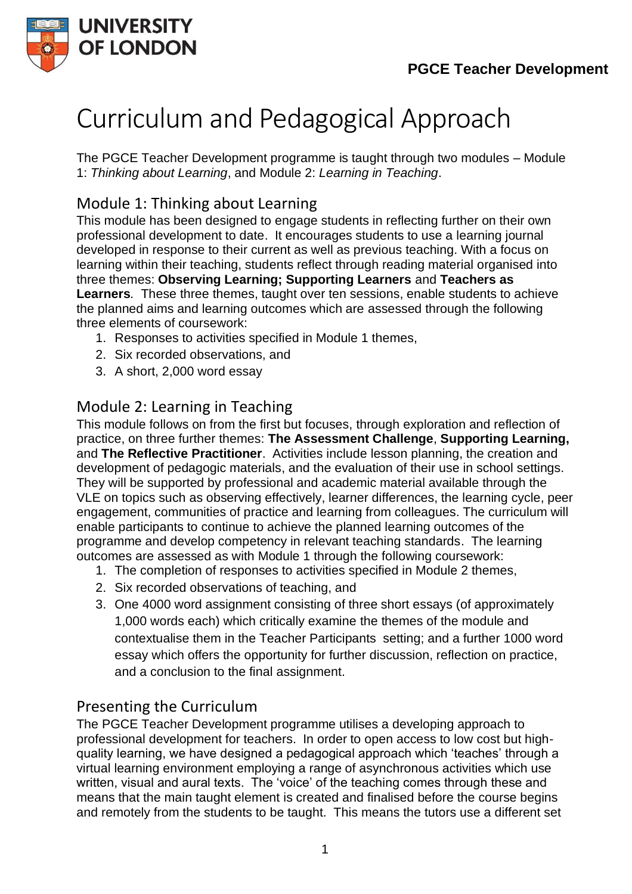

# Curriculum and Pedagogical Approach

The PGCE Teacher Development programme is taught through two modules – Module 1: *Thinking about Learning*, and Module 2: *Learning in Teaching*.

## Module 1: Thinking about Learning

This module has been designed to engage students in reflecting further on their own professional development to date. It encourages students to use a learning journal developed in response to their current as well as previous teaching. With a focus on learning within their teaching, students reflect through reading material organised into three themes: **Observing Learning; Supporting Learners** and **Teachers as Learners***.* These three themes, taught over ten sessions, enable students to achieve the planned aims and learning outcomes which are assessed through the following three elements of coursework:

- 1. Responses to activities specified in Module 1 themes,
- 2. Six recorded observations, and
- 3. A short, 2,000 word essay

## Module 2: Learning in Teaching

This module follows on from the first but focuses, through exploration and reflection of practice, on three further themes: **The Assessment Challenge**, **Supporting Learning,** and **The Reflective Practitioner**. Activities include lesson planning, the creation and development of pedagogic materials, and the evaluation of their use in school settings. They will be supported by professional and academic material available through the VLE on topics such as observing effectively, learner differences, the learning cycle, peer engagement, communities of practice and learning from colleagues. The curriculum will enable participants to continue to achieve the planned learning outcomes of the programme and develop competency in relevant teaching standards. The learning outcomes are assessed as with Module 1 through the following coursework:

- 1. The completion of responses to activities specified in Module 2 themes,
- 2. Six recorded observations of teaching, and
- 3. One 4000 word assignment consisting of three short essays (of approximately 1,000 words each) which critically examine the themes of the module and contextualise them in the Teacher Participants setting; and a further 1000 word essay which offers the opportunity for further discussion, reflection on practice, and a conclusion to the final assignment.

## Presenting the Curriculum

The PGCE Teacher Development programme utilises a developing approach to professional development for teachers. In order to open access to low cost but highquality learning, we have designed a pedagogical approach which 'teaches' through a virtual learning environment employing a range of asynchronous activities which use written, visual and aural texts. The 'voice' of the teaching comes through these and means that the main taught element is created and finalised before the course begins and remotely from the students to be taught. This means the tutors use a different set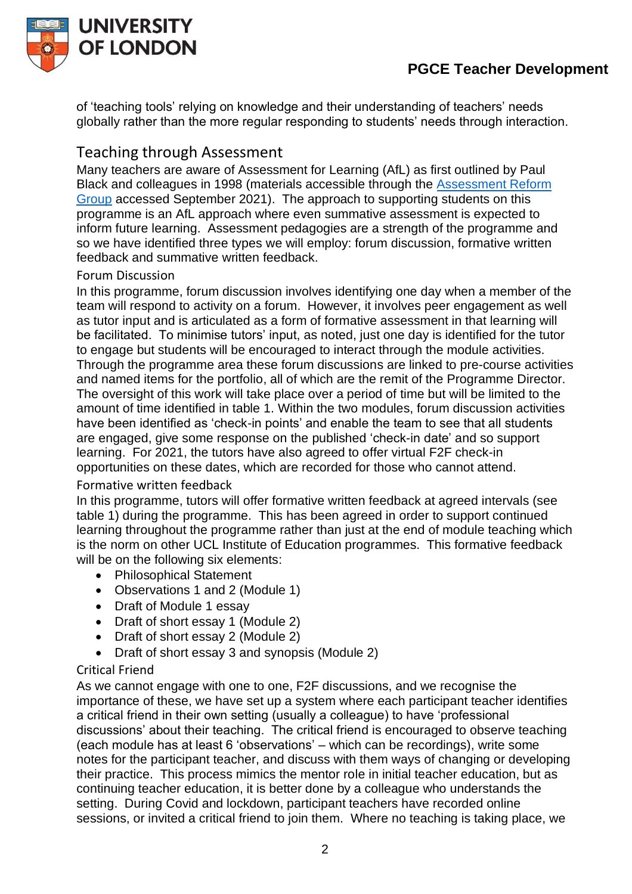

## **PGCE Teacher Development**

of 'teaching tools' relying on knowledge and their understanding of teachers' needs globally rather than the more regular responding to students' needs through interaction.

### Teaching through Assessment

Many teachers are aware of Assessment for Learning (AfL) as first outlined by Paul Black and colleagues in 1998 (materials accessible through the [Assessment Reform](https://www.nuffieldfoundation.org/assessment-reform-group)  [Group](https://www.nuffieldfoundation.org/assessment-reform-group) accessed September 2021). The approach to supporting students on this programme is an AfL approach where even summative assessment is expected to inform future learning. Assessment pedagogies are a strength of the programme and so we have identified three types we will employ: forum discussion, formative written feedback and summative written feedback.

#### Forum Discussion

In this programme, forum discussion involves identifying one day when a member of the team will respond to activity on a forum. However, it involves peer engagement as well as tutor input and is articulated as a form of formative assessment in that learning will be facilitated. To minimise tutors' input, as noted, just one day is identified for the tutor to engage but students will be encouraged to interact through the module activities. Through the programme area these forum discussions are linked to pre-course activities and named items for the portfolio, all of which are the remit of the Programme Director. The oversight of this work will take place over a period of time but will be limited to the amount of time identified in table 1. Within the two modules, forum discussion activities have been identified as 'check-in points' and enable the team to see that all students are engaged, give some response on the published 'check-in date' and so support learning. For 2021, the tutors have also agreed to offer virtual F2F check-in opportunities on these dates, which are recorded for those who cannot attend.

#### Formative written feedback

In this programme, tutors will offer formative written feedback at agreed intervals (see table 1) during the programme. This has been agreed in order to support continued learning throughout the programme rather than just at the end of module teaching which is the norm on other UCL Institute of Education programmes. This formative feedback will be on the following six elements:

- Philosophical Statement
- Observations 1 and 2 (Module 1)
- Draft of Module 1 essay
- Draft of short essay 1 (Module 2)
- Draft of short essay 2 (Module 2)
- Draft of short essay 3 and synopsis (Module 2)

#### Critical Friend

As we cannot engage with one to one, F2F discussions, and we recognise the importance of these, we have set up a system where each participant teacher identifies a critical friend in their own setting (usually a colleague) to have 'professional discussions' about their teaching. The critical friend is encouraged to observe teaching (each module has at least 6 'observations' – which can be recordings), write some notes for the participant teacher, and discuss with them ways of changing or developing their practice. This process mimics the mentor role in initial teacher education, but as continuing teacher education, it is better done by a colleague who understands the setting. During Covid and lockdown, participant teachers have recorded online sessions, or invited a critical friend to join them. Where no teaching is taking place, we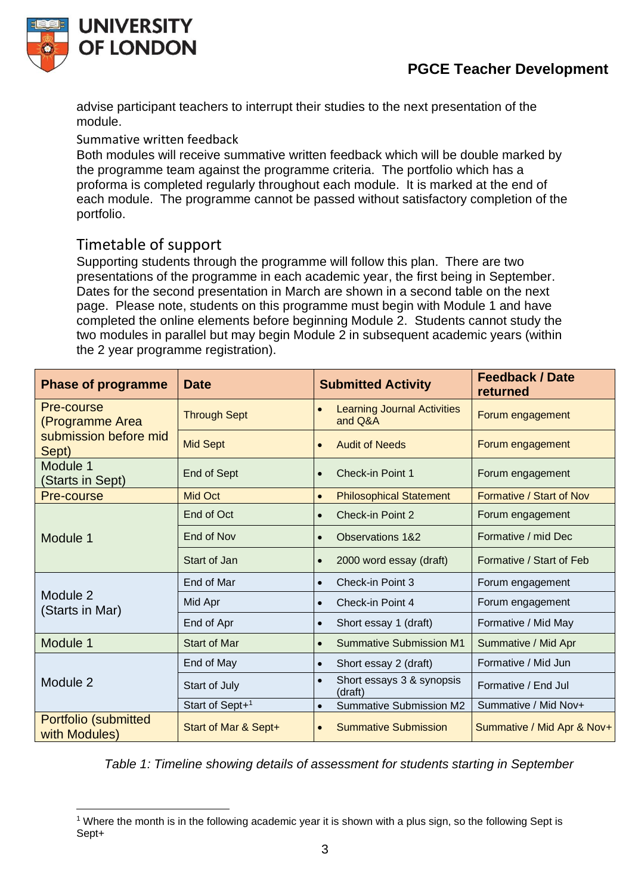



advise participant teachers to interrupt their studies to the next presentation of the module.

Summative written feedback

Both modules will receive summative written feedback which will be double marked by the programme team against the programme criteria. The portfolio which has a proforma is completed regularly throughout each module. It is marked at the end of each module. The programme cannot be passed without satisfactory completion of the portfolio.

## Timetable of support

Supporting students through the programme will follow this plan. There are two presentations of the programme in each academic year, the first being in September. Dates for the second presentation in March are shown in a second table on the next page. Please note, students on this programme must begin with Module 1 and have completed the online elements before beginning Module 2. Students cannot study the two modules in parallel but may begin Module 2 in subsequent academic years (within the 2 year programme registration).

| <b>Phase of programme</b>                                       | <b>Date</b>                 | <b>Submitted Activity</b>                     | <b>Feedback / Date</b><br>returned |
|-----------------------------------------------------------------|-----------------------------|-----------------------------------------------|------------------------------------|
| Pre-course<br>(Programme Area<br>submission before mid<br>Sept) | <b>Through Sept</b>         | <b>Learning Journal Activities</b><br>and Q&A | Forum engagement                   |
|                                                                 | <b>Mid Sept</b>             | <b>Audit of Needs</b><br>$\bullet$            | Forum engagement                   |
| Module 1<br>(Starts in Sept)                                    | End of Sept                 | <b>Check-in Point 1</b>                       | Forum engagement                   |
| Pre-course                                                      | <b>Mid Oct</b>              | <b>Philosophical Statement</b><br>$\bullet$   | Formative / Start of Nov           |
| Module 1                                                        | End of Oct                  | <b>Check-in Point 2</b><br>$\bullet$          | Forum engagement                   |
|                                                                 | End of Nov                  | <b>Observations 1&amp;2</b><br>$\bullet$      | Formative / mid Dec                |
|                                                                 | Start of Jan                | 2000 word essay (draft)<br>$\bullet$          | Formative / Start of Feb           |
| Module 2<br>(Starts in Mar)                                     | End of Mar                  | Check-in Point 3<br>$\bullet$                 | Forum engagement                   |
|                                                                 | Mid Apr                     | Check-in Point 4<br>$\bullet$                 | Forum engagement                   |
|                                                                 | End of Apr                  | Short essay 1 (draft)                         | Formative / Mid May                |
| Module 1                                                        | <b>Start of Mar</b>         | <b>Summative Submission M1</b>                | Summative / Mid Apr                |
| Module 2                                                        | End of May                  | Short essay 2 (draft)<br>$\bullet$            | Formative / Mid Jun                |
|                                                                 | Start of July               | Short essays 3 & synopsis<br>(draft)          | Formative / End Jul                |
|                                                                 | Start of Sept+ <sup>1</sup> | <b>Summative Submission M2</b><br>$\bullet$   | Summative / Mid Nov+               |
| Portfolio (submitted<br>with Modules)                           | Start of Mar & Sept+        | <b>Summative Submission</b><br>$\bullet$      | Summative / Mid Apr & Nov+         |

*Table 1: Timeline showing details of assessment for students starting in September*

<sup>&</sup>lt;sup>1</sup> Where the month is in the following academic year it is shown with a plus sign, so the following Sept is Sept+